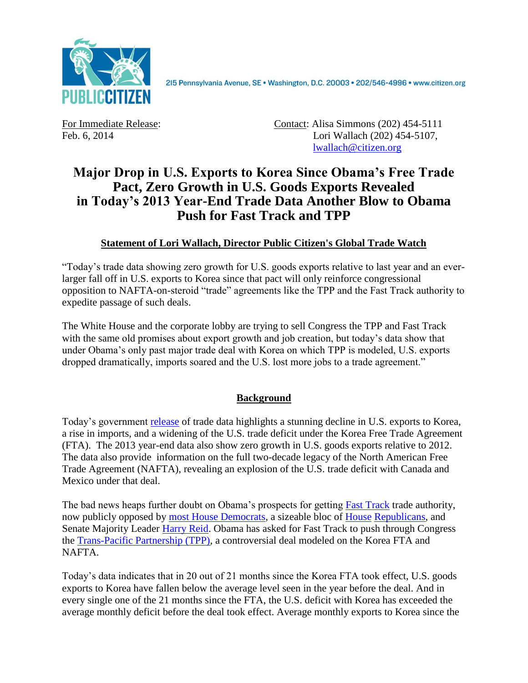

2I5 Pennsylvania Avenue, SE · Washington, D.C. 20003 · 202/546-4996 · www.citizen.org

For Immediate Release: Contact: Alisa Simmons (202) 454-5111 Feb. 6, 2014 Lori Wallach (202) 454-5107, [lwallach@citizen.org](mailto:lwallach@citizen.org)

## **Major Drop in U.S. Exports to Korea Since Obama's Free Trade Pact, Zero Growth in U.S. Goods Exports Revealed in Today's 2013 Year-End Trade Data Another Blow to Obama Push for Fast Track and TPP**

## **Statement of Lori Wallach, Director Public Citizen's Global Trade Watch**

"Today's trade data showing zero growth for U.S. goods exports relative to last year and an everlarger fall off in U.S. exports to Korea since that pact will only reinforce congressional opposition to NAFTA-on-steroid "trade" agreements like the TPP and the Fast Track authority to expedite passage of such deals.

The White House and the corporate lobby are trying to sell Congress the TPP and Fast Track with the same old promises about export growth and job creation, but today's data show that under Obama's only past major trade deal with Korea on which TPP is modeled, U.S. exports dropped dramatically, imports soared and the U.S. lost more jobs to a trade agreement."

## **Background**

Today's government [release](http://www.census.gov/foreign-trade/data/) of trade data highlights a stunning decline in U.S. exports to Korea, a rise in imports, and a widening of the U.S. trade deficit under the Korea Free Trade Agreement (FTA). The 2013 year-end data also show zero growth in U.S. goods exports relative to 2012. The data also provide information on the full two-decade legacy of the North American Free Trade Agreement (NAFTA), revealing an explosion of the U.S. trade deficit with Canada and Mexico under that deal.

The bad news heaps further doubt on Obama's prospects for getting [Fast Track](http://www.citizen.org/fast-track) trade authority, now publicly opposed by [most House Democrats,](http://citizen.typepad.com/eyesontrade/2013/11/151-house-democrats-bloc-of-gop-announce-opposition-to-fast-track-trade-authority-.html) a sizeable bloc of [House](http://jones.house.gov/sites/jones.house.gov/files/11.12.13%20Fast%20Track%20Letter_0.pdf) [Republicans,](http://www.citizen.org/documents/joyce-fast-track-letter.pdf) and Senate Majority Leader [Harry Reid.](http://thehill.com/homenews/senate/196853-reid-rejects-obamas-plea-for-trade-power) Obama has asked for Fast Track to push through Congress the [Trans-Pacific Partnership \(TPP\),](http://www.citizen.org/tpp) a controversial deal modeled on the Korea FTA and NAFTA.

Today's data indicates that in 20 out of 21 months since the Korea FTA took effect, U.S. goods exports to Korea have fallen below the average level seen in the year before the deal. And in every single one of the 21 months since the FTA, the U.S. deficit with Korea has exceeded the average monthly deficit before the deal took effect. Average monthly exports to Korea since the